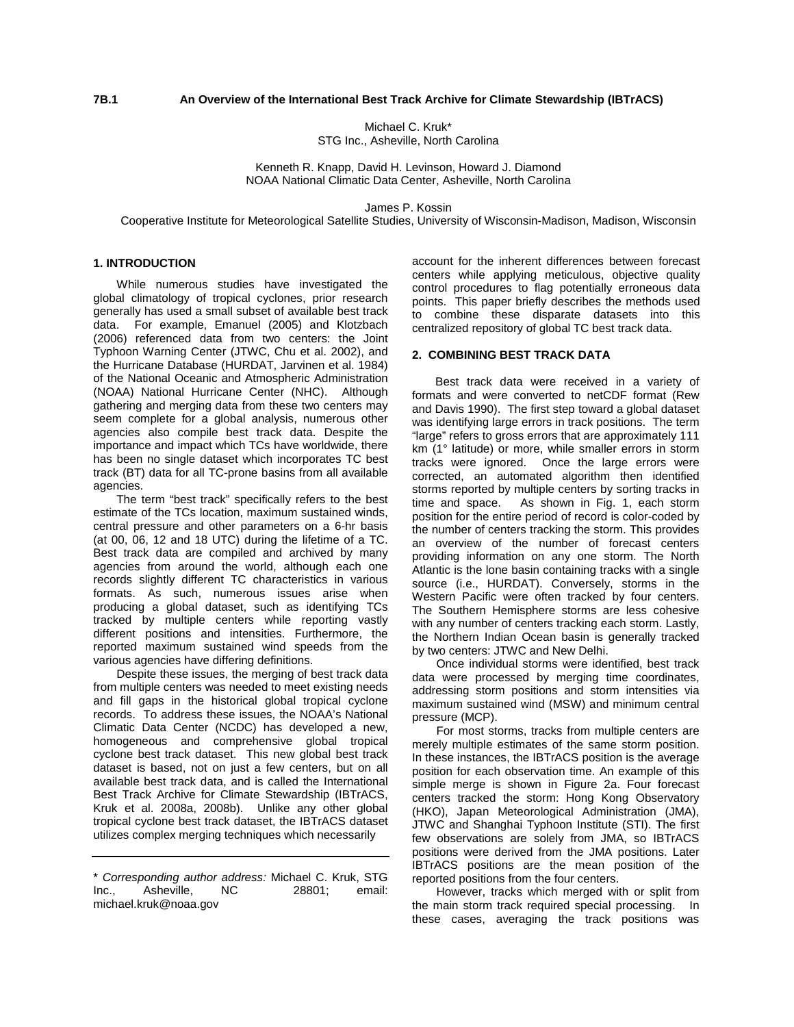# **7B.1 An Overview of the International Best Track Archive for Climate Stewardship (IBTrACS)**

Michael C. Kruk\* STG Inc., Asheville, North Carolina

Kenneth R. Knapp, David H. Levinson, Howard J. Diamond NOAA National Climatic Data Center, Asheville, North Carolina

James P. Kossin

Cooperative Institute for Meteorological Satellite Studies, University of Wisconsin-Madison, Madison, Wisconsin

## **1. INTRODUCTION**

While numerous studies have investigated the global climatology of tropical cyclones, prior research generally has used a small subset of available best track data. For example, Emanuel (2005) and Klotzbach (2006) referenced data from two centers: the Joint Typhoon Warning Center (JTWC, Chu et al. 2002), and the Hurricane Database (HURDAT, Jarvinen et al. 1984) of the National Oceanic and Atmospheric Administration (NOAA) National Hurricane Center (NHC). Although gathering and merging data from these two centers may seem complete for a global analysis, numerous other agencies also compile best track data. Despite the importance and impact which TCs have worldwide, there has been no single dataset which incorporates TC best track (BT) data for all TC-prone basins from all available agencies.

The term "best track" specifically refers to the best estimate of the TCs location, maximum sustained winds, central pressure and other parameters on a 6-hr basis (at 00, 06, 12 and 18 UTC) during the lifetime of a TC. Best track data are compiled and archived by many agencies from around the world, although each one records slightly different TC characteristics in various formats. As such, numerous issues arise when producing a global dataset, such as identifying TCs tracked by multiple centers while reporting vastly different positions and intensities. Furthermore, the reported maximum sustained wind speeds from the various agencies have differing definitions.

Despite these issues, the merging of best track data from multiple centers was needed to meet existing needs and fill gaps in the historical global tropical cyclone records. To address these issues, the NOAA's National Climatic Data Center (NCDC) has developed a new, homogeneous and comprehensive global tropical cyclone best track dataset. This new global best track dataset is based, not on just a few centers, but on all available best track data, and is called the International Best Track Archive for Climate Stewardship (IBTrACS, Kruk et al. 2008a, 2008b). Unlike any other global tropical cyclone best track dataset, the IBTrACS dataset utilizes complex merging techniques which necessarily

account for the inherent differences between forecast centers while applying meticulous, objective quality control procedures to flag potentially erroneous data points. This paper briefly describes the methods used to combine these disparate datasets into this centralized repository of global TC best track data.

#### **2. COMBINING BEST TRACK DATA**

Best track data were received in a variety of formats and were converted to netCDF format (Rew and Davis 1990). The first step toward a global dataset was identifying large errors in track positions. The term "large" refers to gross errors that are approximately 111 km (1° latitude) or more, while smaller errors in storm tracks were ignored. Once the large errors were corrected, an automated algorithm then identified storms reported by multiple centers by sorting tracks in time and space. As shown in Fig. 1, each storm position for the entire period of record is color-coded by the number of centers tracking the storm. This provides an overview of the number of forecast centers providing information on any one storm. The North Atlantic is the lone basin containing tracks with a single source (i.e., HURDAT). Conversely, storms in the Western Pacific were often tracked by four centers. The Southern Hemisphere storms are less cohesive with any number of centers tracking each storm. Lastly, the Northern Indian Ocean basin is generally tracked by two centers: JTWC and New Delhi.

Once individual storms were identified, best track data were processed by merging time coordinates, addressing storm positions and storm intensities via maximum sustained wind (MSW) and minimum central pressure (MCP).

For most storms, tracks from multiple centers are merely multiple estimates of the same storm position. In these instances, the IBTrACS position is the average position for each observation time. An example of this simple merge is shown in Figure 2a. Four forecast centers tracked the storm: Hong Kong Observatory (HKO), Japan Meteorological Administration (JMA), JTWC and Shanghai Typhoon Institute (STI). The first few observations are solely from JMA, so IBTrACS positions were derived from the JMA positions. Later IBTrACS positions are the mean position of the reported positions from the four centers.

However, tracks which merged with or split from the main storm track required special processing. In these cases, averaging the track positions was

<sup>\*</sup> *Corresponding author address:* Michael C. Kruk, STG Asheville. michael.kruk@noaa.gov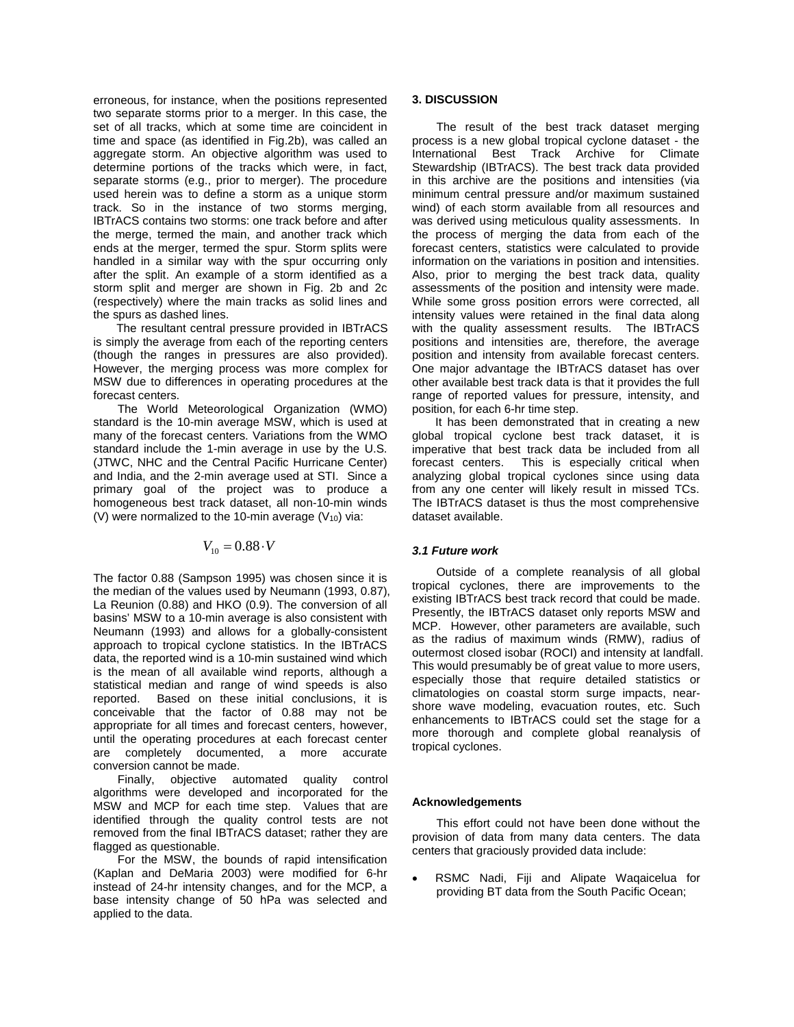erroneous, for instance, when the positions represented two separate storms prior to a merger. In this case, the set of all tracks, which at some time are coincident in time and space (as identified in Fig.2b), was called an aggregate storm. An objective algorithm was used to determine portions of the tracks which were, in fact, separate storms (e.g., prior to merger). The procedure used herein was to define a storm as a unique storm track. So in the instance of two storms merging, IBTrACS contains two storms: one track before and after the merge, termed the main, and another track which ends at the merger, termed the spur. Storm splits were handled in a similar way with the spur occurring only after the split. An example of a storm identified as a storm split and merger are shown in Fig. 2b and 2c (respectively) where the main tracks as solid lines and the spurs as dashed lines.

The resultant central pressure provided in IBTrACS is simply the average from each of the reporting centers (though the ranges in pressures are also provided). However, the merging process was more complex for MSW due to differences in operating procedures at the forecast centers.

The World Meteorological Organization (WMO) standard is the 10-min average MSW, which is used at many of the forecast centers. Variations from the WMO standard include the 1-min average in use by the U.S. (JTWC, NHC and the Central Pacific Hurricane Center) and India, and the 2-min average used at STI. Since a primary goal of the project was to produce a homogeneous best track dataset, all non-10-min winds (V) were normalized to the 10-min average  $(V_{10})$  via:

# $V_{10} = 0.88 \cdot V$

The factor 0.88 (Sampson 1995) was chosen since it is the median of the values used by Neumann (1993, 0.87), La Reunion (0.88) and HKO (0.9). The conversion of all basins' MSW to a 10-min average is also consistent with Neumann (1993) and allows for a globally-consistent approach to tropical cyclone statistics. In the IBTrACS data, the reported wind is a 10-min sustained wind which is the mean of all available wind reports, although a statistical median and range of wind speeds is also reported. Based on these initial conclusions, it is conceivable that the factor of 0.88 may not be appropriate for all times and forecast centers, however, until the operating procedures at each forecast center are completely documented, a more accurate conversion cannot be made.

Finally, objective automated quality control algorithms were developed and incorporated for the MSW and MCP for each time step. Values that are identified through the quality control tests are not removed from the final IBTrACS dataset; rather they are flagged as questionable.

For the MSW, the bounds of rapid intensification (Kaplan and DeMaria 2003) were modified for 6-hr instead of 24-hr intensity changes, and for the MCP, a base intensity change of 50 hPa was selected and applied to the data.

### **3. DISCUSSION**

The result of the best track dataset merging process is a new global tropical cyclone dataset - the International Best Track Archive for Climate Stewardship (IBTrACS). The best track data provided in this archive are the positions and intensities (via minimum central pressure and/or maximum sustained wind) of each storm available from all resources and was derived using meticulous quality assessments. In the process of merging the data from each of the forecast centers, statistics were calculated to provide information on the variations in position and intensities. Also, prior to merging the best track data, quality assessments of the position and intensity were made. While some gross position errors were corrected, all intensity values were retained in the final data along with the quality assessment results. The IBTrACS positions and intensities are, therefore, the average position and intensity from available forecast centers. One major advantage the IBTrACS dataset has over other available best track data is that it provides the full range of reported values for pressure, intensity, and position, for each 6-hr time step.

It has been demonstrated that in creating a new global tropical cyclone best track dataset, it is imperative that best track data be included from all forecast centers. This is especially critical when analyzing global tropical cyclones since using data from any one center will likely result in missed TCs. The IBTrACS dataset is thus the most comprehensive dataset available.

### *3.1 Future work*

Outside of a complete reanalysis of all global tropical cyclones, there are improvements to the existing IBTrACS best track record that could be made. Presently, the IBTrACS dataset only reports MSW and MCP. However, other parameters are available, such as the radius of maximum winds (RMW), radius of outermost closed isobar (ROCI) and intensity at landfall. This would presumably be of great value to more users, especially those that require detailed statistics or climatologies on coastal storm surge impacts, nearshore wave modeling, evacuation routes, etc. Such enhancements to IBTrACS could set the stage for a more thorough and complete global reanalysis of tropical cyclones.

#### **Acknowledgements**

This effort could not have been done without the provision of data from many data centers. The data centers that graciously provided data include:

• RSMC Nadi, Fiji and Alipate Waqaicelua for providing BT data from the South Pacific Ocean;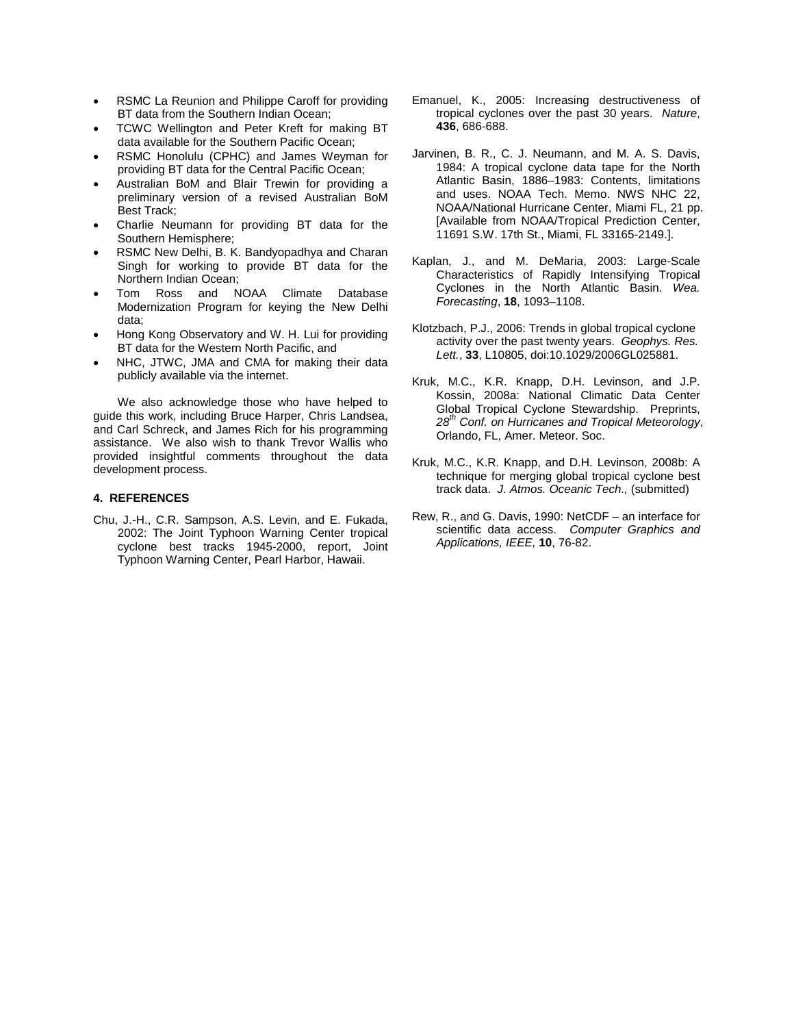- RSMC La Reunion and Philippe Caroff for providing BT data from the Southern Indian Ocean;
- TCWC Wellington and Peter Kreft for making BT data available for the Southern Pacific Ocean;
- RSMC Honolulu (CPHC) and James Weyman for providing BT data for the Central Pacific Ocean;
- Australian BoM and Blair Trewin for providing a preliminary version of a revised Australian BoM Best Track;
- Charlie Neumann for providing BT data for the Southern Hemisphere;
- RSMC New Delhi, B. K. Bandyopadhya and Charan Singh for working to provide BT data for the Northern Indian Ocean;
- Tom Ross and NOAA Climate Database Modernization Program for keying the New Delhi data;
- Hong Kong Observatory and W. H. Lui for providing BT data for the Western North Pacific, and
- NHC, JTWC, JMA and CMA for making their data publicly available via the internet.

We also acknowledge those who have helped to guide this work, including Bruce Harper, Chris Landsea, and Carl Schreck, and James Rich for his programming assistance. We also wish to thank Trevor Wallis who provided insightful comments throughout the data development process.

### **4. REFERENCES**

Chu, J.-H., C.R. Sampson, A.S. Levin, and E. Fukada, 2002: The Joint Typhoon Warning Center tropical cyclone best tracks 1945-2000, report, Joint Typhoon Warning Center, Pearl Harbor, Hawaii.

- Emanuel, K., 2005: Increasing destructiveness of tropical cyclones over the past 30 years. *Nature*, **436**, 686-688.
- Jarvinen, B. R., C. J. Neumann, and M. A. S. Davis, 1984: A tropical cyclone data tape for the North Atlantic Basin, 1886–1983: Contents, limitations and uses. NOAA Tech. Memo. NWS NHC 22, NOAA/National Hurricane Center, Miami FL, 21 pp. [Available from NOAA/Tropical Prediction Center, 11691 S.W. 17th St., Miami, FL 33165-2149.].
- Kaplan, J., and M. DeMaria, 2003: Large-Scale Characteristics of Rapidly Intensifying Tropical Cyclones in the North Atlantic Basin. *Wea. Forecasting*, **18**, 1093–1108.
- Klotzbach, P.J., 2006: Trends in global tropical cyclone activity over the past twenty years. *Geophys. Res. Lett.*, **33**, L10805, doi:10.1029/2006GL025881.
- Kruk, M.C., K.R. Knapp, D.H. Levinson, and J.P. Kossin, 2008a: National Climatic Data Center Global Tropical Cyclone Stewardship. Preprints, *28th Conf. on Hurricanes and Tropical Meteorology*, Orlando, FL, Amer. Meteor. Soc.
- Kruk, M.C., K.R. Knapp, and D.H. Levinson, 2008b: A technique for merging global tropical cyclone best track data. *J. Atmos. Oceanic Tech.,* (submitted)
- Rew, R., and G. Davis, 1990: NetCDF an interface for scientific data access. *Computer Graphics and Applications, IEEE,* **10**, 76-82.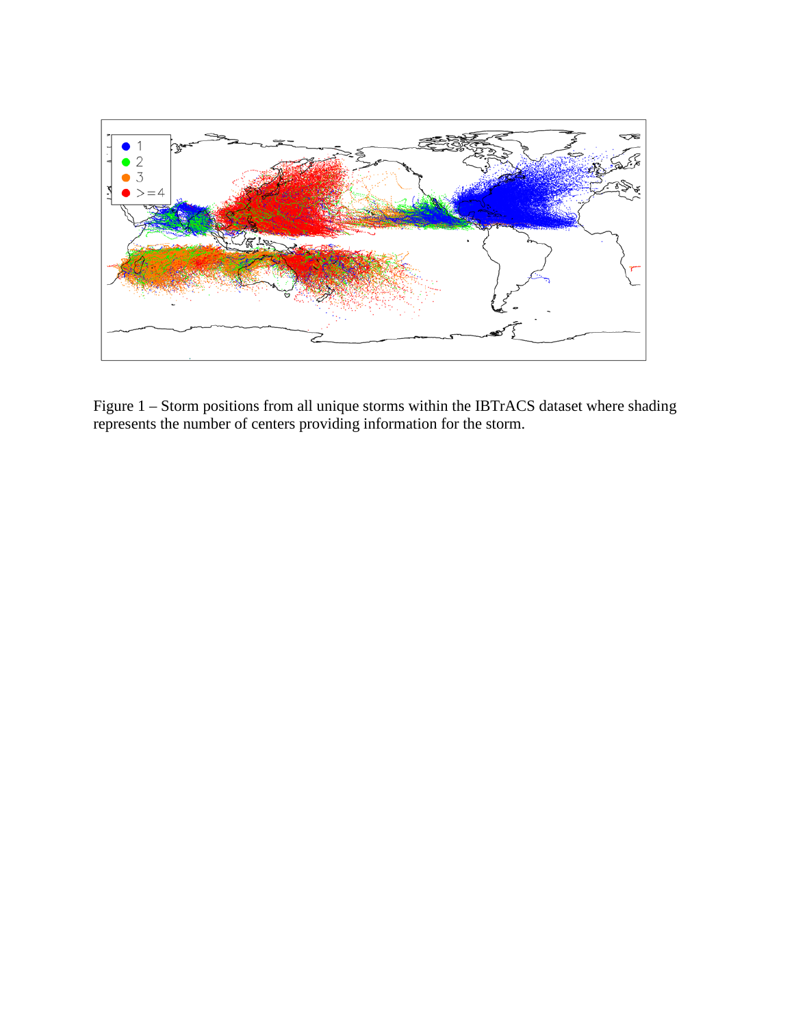

Figure 1 – Storm positions from all unique storms within the IBTrACS dataset where shading represents the number of centers providing information for the storm.